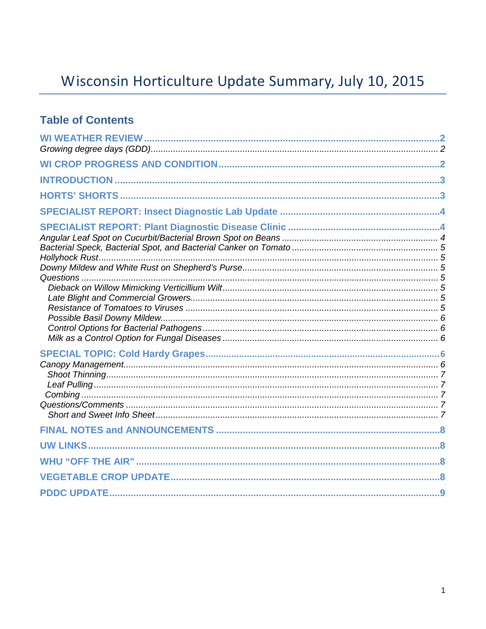# Wisconsin Horticulture Update Summary, July 10, 2015

### **Table of Contents**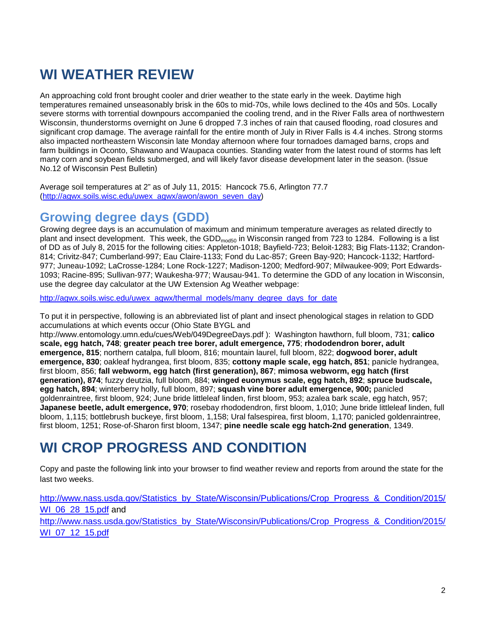# **WI WEATHER REVIEW**

An approaching cold front brought cooler and drier weather to the state early in the week. Daytime high temperatures remained unseasonably brisk in the 60s to mid-70s, while lows declined to the 40s and 50s. Locally severe storms with torrential downpours accompanied the cooling trend, and in the River Falls area of northwestern Wisconsin, thunderstorms overnight on June 6 dropped 7.3 inches of rain that caused flooding, road closures and significant crop damage. The average rainfall for the entire month of July in River Falls is 4.4 inches. Strong storms also impacted northeastern Wisconsin late Monday afternoon where four tornadoes damaged barns, crops and farm buildings in Oconto, Shawano and Waupaca counties. Standing water from the latest round of storms has left many corn and soybean fields submerged, and will likely favor disease development later in the season. (Issue No.12 of Wisconsin Pest Bulletin)

Average soil temperatures at 2" as of July 11, 2015: Hancock 75.6, Arlington 77.7 [\(http://agwx.soils.wisc.edu/uwex\\_agwx/awon/awon\\_seven\\_day\)](http://agwx.soils.wisc.edu/uwex_agwx/awon/awon_seven_day)

### **Growing degree days (GDD)**

Growing degree days is an accumulation of maximum and minimum temperature averages as related directly to plant and insect development. This week, the GDD<sub>mod50</sub> in Wisconsin ranged from 723 to 1284. Following is a list of DD as of July 8, 2015 for the following cities: Appleton-1018; Bayfield-723; Beloit-1283; Big Flats-1132; Crandon-814; Crivitz-847; Cumberland-997; Eau Claire-1133; Fond du Lac-857; Green Bay-920; Hancock-1132; Hartford-977; Juneau-1092; LaCrosse-1284; Lone Rock-1227; Madison-1200; Medford-907; Milwaukee-909; Port Edwards-1093; Racine-895; Sullivan-977; Waukesha-977; Wausau-941. To determine the GDD of any location in Wisconsin, use the degree day calculator at the UW Extension Ag Weather webpage:

[http://agwx.soils.wisc.edu/uwex\\_agwx/thermal\\_models/many\\_degree\\_days\\_for\\_date](http://agwx.soils.wisc.edu/uwex_agwx/thermal_models/many_degree_days_for_date)

To put it in perspective, following is an abbreviated list of plant and insect phenological stages in relation to GDD accumulations at which events occur (Ohio State BYGL and

http://www.entomology.umn.edu/cues/Web/049DegreeDays.pdf ): Washington hawthorn, full bloom, 731; **calico scale, egg hatch, 748**; **greater peach tree borer, adult emergence, 775**; **rhododendron borer, adult emergence, 815**; northern catalpa, full bloom, 816; mountain laurel, full bloom, 822; **dogwood borer, adult emergence, 830**; oakleaf hydrangea, first bloom, 835; **cottony maple scale, egg hatch, 851**; panicle hydrangea, first bloom, 856; **fall webworm, egg hatch (first generation), 867**; **mimosa webworm, egg hatch (first generation), 874**; fuzzy deutzia, full bloom, 884; **winged euonymus scale, egg hatch, 892**; **spruce budscale, egg hatch, 894**; winterberry holly, full bloom, 897; **squash vine borer adult emergence, 900;** panicled goldenraintree, first bloom, 924; June bride littleleaf linden, first bloom, 953; azalea bark scale, egg hatch, 957; **Japanese beetle, adult emergence, 970**; rosebay rhododendron, first bloom, 1,010; June bride littleleaf linden, full bloom, 1,115; bottlebrush buckeye, first bloom, 1,158; Ural falsespirea, first bloom, 1,170; panicled goldenraintree, first bloom, 1251; Rose-of-Sharon first bloom, 1347; **pine needle scale egg hatch-2nd generation**, 1349.

## **WI CROP PROGRESS AND CONDITION**

Copy and paste the following link into your browser to find weather review and reports from around the state for the last two weeks.

[http://www.nass.usda.gov/Statistics\\_by\\_State/Wisconsin/Publications/Crop\\_Progress\\_&\\_Condition/2015/](http://www.nass.usda.gov/Statistics_by_State/Wisconsin/Publications/Crop_Progress_&_Condition/2015/WI_06_28_15.pdf) [WI\\_06\\_28\\_15.pdf](http://www.nass.usda.gov/Statistics_by_State/Wisconsin/Publications/Crop_Progress_&_Condition/2015/WI_06_28_15.pdf) and [http://www.nass.usda.gov/Statistics\\_by\\_State/Wisconsin/Publications/Crop\\_Progress\\_&\\_Condition/2015/](http://www.nass.usda.gov/Statistics_by_State/Wisconsin/Publications/Crop_Progress_&_Condition/2015/WI_07_12_15.pdf) [WI\\_07\\_12\\_15.pdf](http://www.nass.usda.gov/Statistics_by_State/Wisconsin/Publications/Crop_Progress_&_Condition/2015/WI_07_12_15.pdf)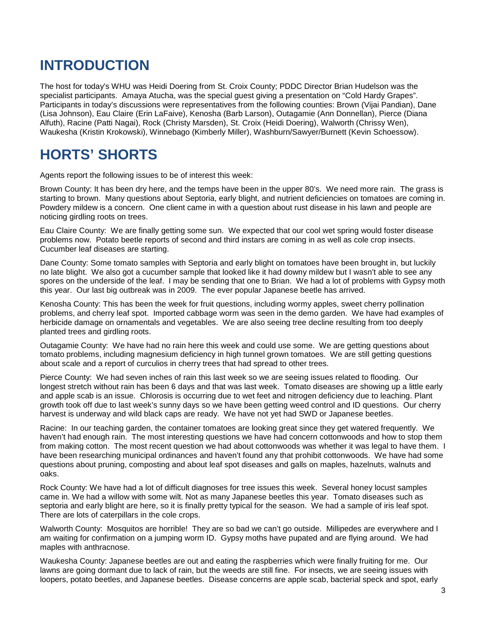## **INTRODUCTION**

The host for today's WHU was Heidi Doering from St. Croix County; PDDC Director Brian Hudelson was the specialist participants. Amaya Atucha, was the special guest giving a presentation on "Cold Hardy Grapes". Participants in today's discussions were representatives from the following counties: Brown (Vijai Pandian), Dane (Lisa Johnson), Eau Claire (Erin LaFaive), Kenosha (Barb Larson), Outagamie (Ann Donnellan), Pierce (Diana Alfuth), Racine (Patti Nagai), Rock (Christy Marsden), St. Croix (Heidi Doering), Walworth (Chrissy Wen), Waukesha (Kristin Krokowski), Winnebago (Kimberly Miller), Washburn/Sawyer/Burnett (Kevin Schoessow).

# **HORTS' SHORTS**

Agents report the following issues to be of interest this week:

Brown County: It has been dry here, and the temps have been in the upper 80's. We need more rain. The grass is starting to brown. Many questions about Septoria, early blight, and nutrient deficiencies on tomatoes are coming in. Powdery mildew is a concern. One client came in with a question about rust disease in his lawn and people are noticing girdling roots on trees.

Eau Claire County: We are finally getting some sun. We expected that our cool wet spring would foster disease problems now. Potato beetle reports of second and third instars are coming in as well as cole crop insects. Cucumber leaf diseases are starting.

Dane County: Some tomato samples with Septoria and early blight on tomatoes have been brought in, but luckily no late blight. We also got a cucumber sample that looked like it had downy mildew but I wasn't able to see any spores on the underside of the leaf. I may be sending that one to Brian. We had a lot of problems with Gypsy moth this year. Our last big outbreak was in 2009. The ever popular Japanese beetle has arrived.

Kenosha County: This has been the week for fruit questions, including wormy apples, sweet cherry pollination problems, and cherry leaf spot. Imported cabbage worm was seen in the demo garden. We have had examples of herbicide damage on ornamentals and vegetables. We are also seeing tree decline resulting from too deeply planted trees and girdling roots.

Outagamie County: We have had no rain here this week and could use some. We are getting questions about tomato problems, including magnesium deficiency in high tunnel grown tomatoes. We are still getting questions about scale and a report of curculios in cherry trees that had spread to other trees.

Pierce County: We had seven inches of rain this last week so we are seeing issues related to flooding. Our longest stretch without rain has been 6 days and that was last week. Tomato diseases are showing up a little early and apple scab is an issue. Chlorosis is occurring due to wet feet and nitrogen deficiency due to leaching. Plant growth took off due to last week's sunny days so we have been getting weed control and ID questions. Our cherry harvest is underway and wild black caps are ready. We have not yet had SWD or Japanese beetles.

Racine: In our teaching garden, the container tomatoes are looking great since they get watered frequently. We haven't had enough rain. The most interesting questions we have had concern cottonwoods and how to stop them from making cotton. The most recent question we had about cottonwoods was whether it was legal to have them. I have been researching municipal ordinances and haven't found any that prohibit cottonwoods. We have had some questions about pruning, composting and about leaf spot diseases and galls on maples, hazelnuts, walnuts and oaks.

Rock County: We have had a lot of difficult diagnoses for tree issues this week. Several honey locust samples came in. We had a willow with some wilt. Not as many Japanese beetles this year. Tomato diseases such as septoria and early blight are here, so it is finally pretty typical for the season. We had a sample of iris leaf spot. There are lots of caterpillars in the cole crops.

Walworth County: Mosquitos are horrible! They are so bad we can't go outside. Millipedes are everywhere and I am waiting for confirmation on a jumping worm ID. Gypsy moths have pupated and are flying around. We had maples with anthracnose.

Waukesha County: Japanese beetles are out and eating the raspberries which were finally fruiting for me. Our lawns are going dormant due to lack of rain, but the weeds are still fine. For insects, we are seeing issues with loopers, potato beetles, and Japanese beetles. Disease concerns are apple scab, bacterial speck and spot, early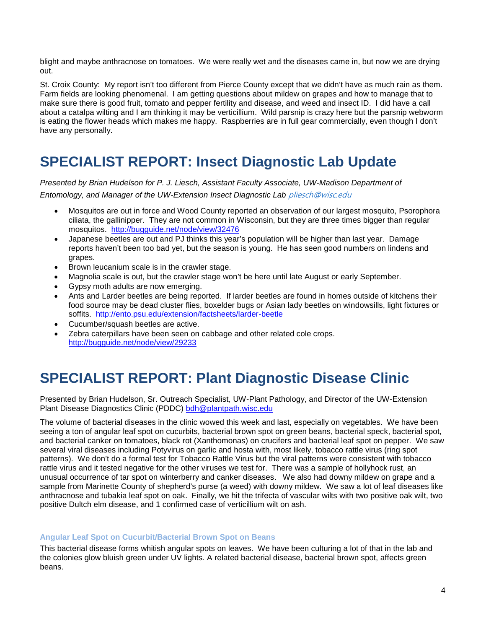blight and maybe anthracnose on tomatoes. We were really wet and the diseases came in, but now we are drying out.

St. Croix County: My report isn't too different from Pierce County except that we didn't have as much rain as them. Farm fields are looking phenomenal. I am getting questions about mildew on grapes and how to manage that to make sure there is good fruit, tomato and pepper fertility and disease, and weed and insect ID. I did have a call about a catalpa wilting and I am thinking it may be verticillium. Wild parsnip is crazy here but the parsnip webworm is eating the flower heads which makes me happy. Raspberries are in full gear commercially, even though I don't have any personally.

## **SPECIALIST REPORT: Insect Diagnostic Lab Update**

*Presented by Brian Hudelson for P. J. Liesch, Assistant Faculty Associate, UW-Madison Department of Entomology, and Manager of the UW-Extension Insect Diagnostic Lab* [pliesch@wisc.edu](mailto:pliesch@wisc.edu)

- Mosquitos are out in force and Wood County reported an observation of our largest mosquito, Psorophora ciliata, the gallinipper. They are not common in Wisconsin, but they are three times bigger than regular mosquitos. <http://bugguide.net/node/view/32476>
- Japanese beetles are out and PJ thinks this year's population will be higher than last year. Damage reports haven't been too bad yet, but the season is young. He has seen good numbers on lindens and grapes.
- Brown leucanium scale is in the crawler stage.
- Magnolia scale is out, but the crawler stage won't be here until late August or early September.
- Gypsy moth adults are now emerging.
- Ants and Larder beetles are being reported. If larder beetles are found in homes outside of kitchens their food source may be dead cluster flies, boxelder bugs or Asian lady beetles on windowsills, light fixtures or soffits. <http://ento.psu.edu/extension/factsheets/larder-beetle>
- Cucumber/squash beetles are active.
- Zebra caterpillars have been seen on cabbage and other related cole crops. <http://bugguide.net/node/view/29233>

# **SPECIALIST REPORT: Plant Diagnostic Disease Clinic**

Presented by Brian Hudelson, Sr. Outreach Specialist, UW-Plant Pathology, and Director of the UW-Extension Plant Disease Diagnostics Clinic (PDDC) [bdh@plantpath.wisc.edu](mailto:bdh@plantpath.wisc.edu)

The volume of bacterial diseases in the clinic wowed this week and last, especially on vegetables. We have been seeing a ton of angular leaf spot on cucurbits, bacterial brown spot on green beans, bacterial speck, bacterial spot, and bacterial canker on tomatoes, black rot (Xanthomonas) on crucifers and bacterial leaf spot on pepper. We saw several viral diseases including Potyvirus on garlic and hosta with, most likely, tobacco rattle virus (ring spot patterns). We don't do a formal test for Tobacco Rattle Virus but the viral patterns were consistent with tobacco rattle virus and it tested negative for the other viruses we test for. There was a sample of hollyhock rust, an unusual occurrence of tar spot on winterberry and canker diseases. We also had downy mildew on grape and a sample from Marinette County of shepherd's purse (a weed) with downy mildew. We saw a lot of leaf diseases like anthracnose and tubakia leaf spot on oak. Finally, we hit the trifecta of vascular wilts with two positive oak wilt, two positive Dultch elm disease, and 1 confirmed case of verticillium wilt on ash.

#### **Angular Leaf Spot on Cucurbit/Bacterial Brown Spot on Beans**

This bacterial disease forms whitish angular spots on leaves. We have been culturing a lot of that in the lab and the colonies glow bluish green under UV lights. A related bacterial disease, bacterial brown spot, affects green beans.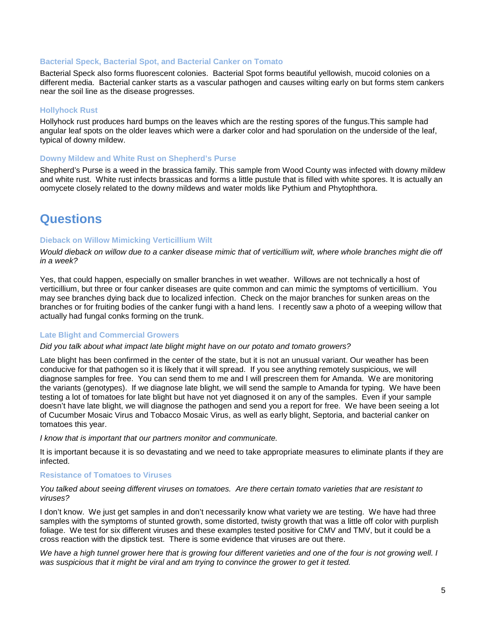#### **Bacterial Speck, Bacterial Spot, and Bacterial Canker on Tomato**

Bacterial Speck also forms fluorescent colonies. Bacterial Spot forms beautiful yellowish, mucoid colonies on a different media. Bacterial canker starts as a vascular pathogen and causes wilting early on but forms stem cankers near the soil line as the disease progresses.

#### **Hollyhock Rust**

Hollyhock rust produces hard bumps on the leaves which are the resting spores of the fungus.This sample had angular leaf spots on the older leaves which were a darker color and had sporulation on the underside of the leaf, typical of downy mildew.

#### **Downy Mildew and White Rust on Shepherd's Purse**

Shepherd's Purse is a weed in the brassica family. This sample from Wood County was infected with downy mildew and white rust. White rust infects brassicas and forms a little pustule that is filled with white spores. It is actually an oomycete closely related to the downy mildews and water molds like Pythium and Phytophthora.

### **Questions**

#### **Dieback on Willow Mimicking Verticillium Wilt**

*Would dieback on willow due to a canker disease mimic that of verticillium wilt, where whole branches might die off in a week?*

Yes, that could happen, especially on smaller branches in wet weather. Willows are not technically a host of verticillium, but three or four canker diseases are quite common and can mimic the symptoms of verticillium. You may see branches dying back due to localized infection. Check on the major branches for sunken areas on the branches or for fruiting bodies of the canker fungi with a hand lens. I recently saw a photo of a weeping willow that actually had fungal conks forming on the trunk.

#### **Late Blight and Commercial Growers**

#### *Did you talk about what impact late blight might have on our potato and tomato growers?*

Late blight has been confirmed in the center of the state, but it is not an unusual variant. Our weather has been conducive for that pathogen so it is likely that it will spread. If you see anything remotely suspicious, we will diagnose samples for free. You can send them to me and I will prescreen them for Amanda. We are monitoring the variants (genotypes). If we diagnose late blight, we will send the sample to Amanda for typing. We have been testing a lot of tomatoes for late blight but have not yet diagnosed it on any of the samples. Even if your sample doesn't have late blight, we will diagnose the pathogen and send you a report for free. We have been seeing a lot of Cucumber Mosaic Virus and Tobacco Mosaic Virus, as well as early blight, Septoria, and bacterial canker on tomatoes this year.

*I know that is important that our partners monitor and communicate.*

It is important because it is so devastating and we need to take appropriate measures to eliminate plants if they are infected.

#### **Resistance of Tomatoes to Viruses**

*You talked about seeing different viruses on tomatoes. Are there certain tomato varieties that are resistant to viruses?*

I don't know. We just get samples in and don't necessarily know what variety we are testing. We have had three samples with the symptoms of stunted growth, some distorted, twisty growth that was a little off color with purplish foliage. We test for six different viruses and these examples tested positive for CMV and TMV, but it could be a cross reaction with the dipstick test. There is some evidence that viruses are out there.

We have a high tunnel grower here that is growing four different varieties and one of the four is not growing well. I *was suspicious that it might be viral and am trying to convince the grower to get it tested.*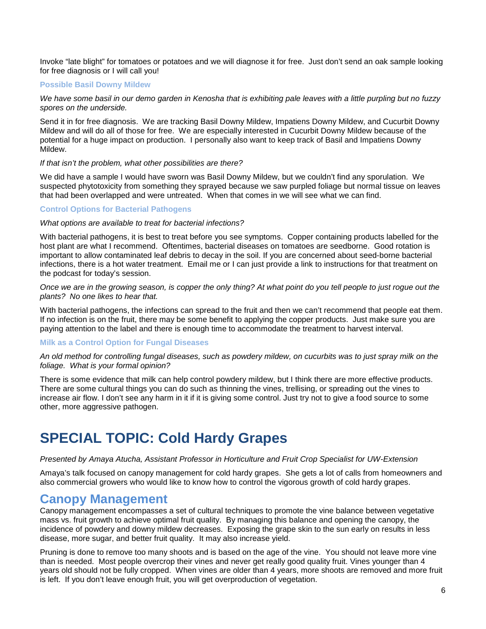Invoke "late blight" for tomatoes or potatoes and we will diagnose it for free. Just don't send an oak sample looking for free diagnosis or I will call you!

#### **Possible Basil Downy Mildew**

*We have some basil in our demo garden in Kenosha that is exhibiting pale leaves with a little purpling but no fuzzy spores on the underside.*

Send it in for free diagnosis. We are tracking Basil Downy Mildew, Impatiens Downy Mildew, and Cucurbit Downy Mildew and will do all of those for free. We are especially interested in Cucurbit Downy Mildew because of the potential for a huge impact on production. I personally also want to keep track of Basil and Impatiens Downy Mildew.

#### *If that isn't the problem, what other possibilities are there?*

We did have a sample I would have sworn was Basil Downy Mildew, but we couldn't find any sporulation. We suspected phytotoxicity from something they sprayed because we saw purpled foliage but normal tissue on leaves that had been overlapped and were untreated. When that comes in we will see what we can find.

#### **Control Options for Bacterial Pathogens**

#### *What options are available to treat for bacterial infections?*

With bacterial pathogens, it is best to treat before you see symptoms. Copper containing products labelled for the host plant are what I recommend. Oftentimes, bacterial diseases on tomatoes are seedborne. Good rotation is important to allow contaminated leaf debris to decay in the soil. If you are concerned about seed-borne bacterial infections, there is a hot water treatment. Email me or I can just provide a link to instructions for that treatment on the podcast for today's session.

*Once we are in the growing season, is copper the only thing? At what point do you tell people to just rogue out the plants? No one likes to hear that.*

With bacterial pathogens, the infections can spread to the fruit and then we can't recommend that people eat them. If no infection is on the fruit, there may be some benefit to applying the copper products. Just make sure you are paying attention to the label and there is enough time to accommodate the treatment to harvest interval.

#### **Milk as a Control Option for Fungal Diseases**

*An old method for controlling fungal diseases, such as powdery mildew, on cucurbits was to just spray milk on the foliage. What is your formal opinion?*

There is some evidence that milk can help control powdery mildew, but I think there are more effective products. There are some cultural things you can do such as thinning the vines, trellising, or spreading out the vines to increase air flow. I don't see any harm in it if it is giving some control. Just try not to give a food source to some other, more aggressive pathogen.

### **SPECIAL TOPIC: Cold Hardy Grapes**

#### *Presented by Amaya Atucha, Assistant Professor in Horticulture and Fruit Crop Specialist for UW-Extension*

Amaya's talk focused on canopy management for cold hardy grapes. She gets a lot of calls from homeowners and also commercial growers who would like to know how to control the vigorous growth of cold hardy grapes.

### **Canopy Management**

Canopy management encompasses a set of cultural techniques to promote the vine balance between vegetative mass vs. fruit growth to achieve optimal fruit quality. By managing this balance and opening the canopy, the incidence of powdery and downy mildew decreases. Exposing the grape skin to the sun early on results in less disease, more sugar, and better fruit quality. It may also increase yield.

Pruning is done to remove too many shoots and is based on the age of the vine. You should not leave more vine than is needed. Most people overcrop their vines and never get really good quality fruit. Vines younger than 4 years old should not be fully cropped. When vines are older than 4 years, more shoots are removed and more fruit is left. If you don't leave enough fruit, you will get overproduction of vegetation.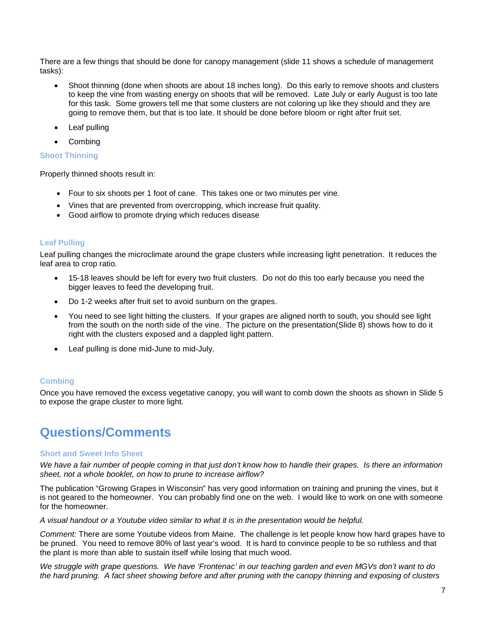There are a few things that should be done for canopy management (slide 11 shows a schedule of management tasks):

- Shoot thinning (done when shoots are about 18 inches long). Do this early to remove shoots and clusters to keep the vine from wasting energy on shoots that will be removed. Late July or early August is too late for this task. Some growers tell me that some clusters are not coloring up like they should and they are going to remove them, but that is too late. It should be done before bloom or right after fruit set.
- Leaf pulling
- **Combing**

#### **Shoot Thinning**

Properly thinned shoots result in:

- Four to six shoots per 1 foot of cane. This takes one or two minutes per vine.
- Vines that are prevented from overcropping, which increase fruit quality.
- Good airflow to promote drying which reduces disease

#### **Leaf Pulling**

Leaf pulling changes the microclimate around the grape clusters while increasing light penetration. It reduces the leaf area to crop ratio.

- 15-18 leaves should be left for every two fruit clusters. Do not do this too early because you need the bigger leaves to feed the developing fruit.
- Do 1-2 weeks after fruit set to avoid sunburn on the grapes.
- You need to see light hitting the clusters. If your grapes are aligned north to south, you should see light from the south on the north side of the vine. The picture on the presentation(Slide 8) shows how to do it right with the clusters exposed and a dappled light pattern.
- Leaf pulling is done mid-June to mid-July.

#### **Combing**

Once you have removed the excess vegetative canopy, you will want to comb down the shoots as shown in Slide 5 to expose the grape cluster to more light.

### **Questions/Comments**

#### **Short and Sweet Info Sheet**

*We have a fair number of people coming in that just don't know how to handle their grapes. Is there an information sheet, not a whole booklet, on how to prune to increase airflow?*

The publication "Growing Grapes in Wisconsin" has very good information on training and pruning the vines, but it is not geared to the homeowner. You can probably find one on the web. I would like to work on one with someone for the homeowner.

*A visual handout or a Youtube video similar to what it is in the presentation would be helpful.*

*Comment:* There are some Youtube videos from Maine. The challenge is let people know how hard grapes have to be pruned. You need to remove 80% of last year's wood. It is hard to convince people to be so ruthless and that the plant is more than able to sustain itself while losing that much wood.

*We struggle with grape questions. We have 'Frontenac' in our teaching garden and even MGVs don't want to do the hard pruning. A fact sheet showing before and after pruning with the canopy thinning and exposing of clusters*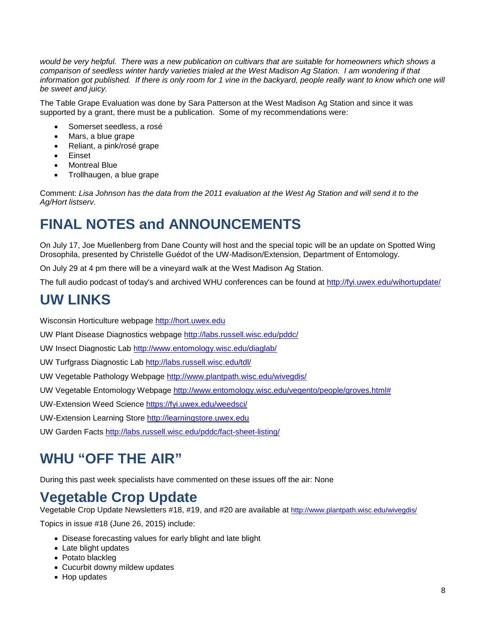would be very helpful. There was a new publication on cultivars that are suitable for homeowners which shows a *comparison of seedless winter hardy varieties trialed at the West Madison Ag Station. I am wondering if that*  information got published. If there is only room for 1 vine in the backyard, people really want to know which one will *be sweet and juicy.* 

The Table Grape Evaluation was done by Sara Patterson at the West Madison Ag Station and since it was supported by a grant, there must be a publication. Some of my recommendations were:

- Somerset seedless, a rosé
- Mars, a blue grape
- Reliant, a pink/rosé grape
- Einset
- Montreal Blue
- Trollhaugen, a blue grape

Comment: *Lisa Johnson has the data from the 2011 evaluation at the West Ag Station and will send it to the Ag/Hort listserv.*

# **FINAL NOTES and ANNOUNCEMENTS**

On July 17, Joe Muellenberg from Dane County will host and the special topic will be an update on Spotted Wing Drosophila, presented by Christelle Guédot of the UW-Madison/Extension, Department of Entomology.

On July 29 at 4 pm there will be a vineyard walk at the West Madison Ag Station.

The full audio podcast of today's and archived WHU conferences can be found at<http://fyi.uwex.edu/wihortupdate/>

## **UW LINKS**

Wisconsin Horticulture webpage [http://hort.uwex.edu](http://hort.uwex.edu/)

UW Plant Disease Diagnostics webpage<http://labs.russell.wisc.edu/pddc/>

UW Insect Diagnostic Lab<http://www.entomology.wisc.edu/diaglab/>

UW Turfgrass Diagnostic Lab<http://labs.russell.wisc.edu/tdl/>

UW Vegetable Pathology Webpage<http://www.plantpath.wisc.edu/wivegdis/>

UW Vegetable Entomology Webpage [http://www.entomology.wisc.edu/vegento/people/groves.html#](http://www.entomology.wisc.edu/vegento/people/groves.html%23)

UW-Extension Weed Science https://fyi.uwex.edu/weedsci/

UW-Extension Learning Store [http://learningstore.uwex.edu](http://learningstore.uwex.edu/)

UW Garden Facts<http://labs.russell.wisc.edu/pddc/fact-sheet-listing/>

## **WHU "OFF THE AIR"**

During this past week specialists have commented on these issues off the air: None

### **Vegetable Crop Update**

Vegetable Crop Update Newsletters #18, #19, and #20 are available at<http://www.plantpath.wisc.edu/wivegdis/>

Topics in issue #18 (June 26, 2015) include:

- Disease forecasting values for early blight and late blight
- Late blight updates
- Potato blackleg
- Cucurbit downy mildew updates
- Hop updates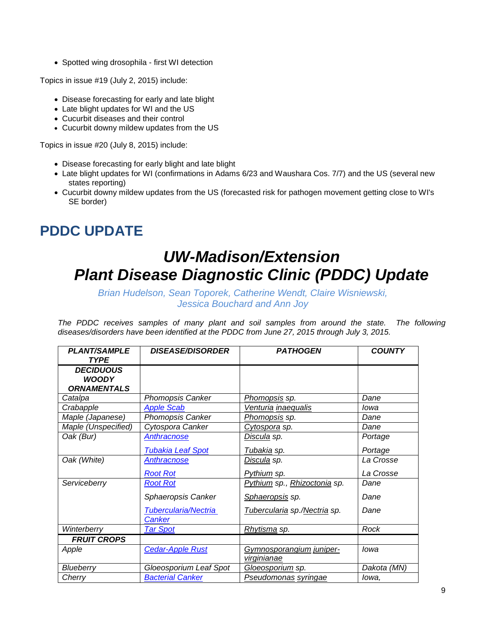• Spotted wing drosophila - first WI detection

Topics in issue #19 (July 2, 2015) include:

- Disease forecasting for early and late blight
- Late blight updates for WI and the US
- Cucurbit diseases and their control
- Cucurbit downy mildew updates from the US

Topics in issue #20 (July 8, 2015) include:

- Disease forecasting for early blight and late blight
- Late blight updates for WI (confirmations in Adams 6/23 and Waushara Cos. 7/7) and the US (several new states reporting)
- Cucurbit downy mildew updates from the US (forecasted risk for pathogen movement getting close to WI's SE border)

## **PDDC UPDATE**

# *UW-Madison/Extension Plant Disease Diagnostic Clinic (PDDC) Update*

*Brian Hudelson, Sean Toporek, Catherine Wendt, Claire Wisniewski, Jessica Bouchard and Ann Joy*

The PDDC receives samples of many plant and soil samples from around the state. The following *diseases/disorders have been identified at the PDDC from June 27, 2015 through July 3, 2015.*

| <b>PLANT/SAMPLE</b><br><b>TYPE</b>                     | <b>DISEASE/DISORDER</b>  | <b>PATHOGEN</b>              | <b>COUNTY</b> |
|--------------------------------------------------------|--------------------------|------------------------------|---------------|
| <b>DECIDUOUS</b><br><b>WOODY</b><br><b>ORNAMENTALS</b> |                          |                              |               |
| Catalpa                                                | <b>Phomopsis Canker</b>  | <u>Phomopsis</u> sp.         | Dane          |
| Crabapple                                              | <b>Apple Scab</b>        | Venturia inaequalis          | lowa          |
| Maple (Japanese)                                       | Phomopsis Canker         | <u>Phomopsis</u> sp.         | Dane          |
| Maple (Unspecified)                                    | Cytospora Canker         | <u>Cytospora</u> sp.         | Dane          |
| Oak (Bur)                                              | Anthracnose              | <u>Discula</u> sp.           | Portage       |
|                                                        | <b>Tubakia Leaf Spot</b> | Tubakia sp.                  | Portage       |
| Oak (White)                                            | <b>Anthracnose</b>       | <u>Discula</u> sp.           | La Crosse     |
|                                                        | <b>Root Rot</b>          | Pythium sp.                  | La Crosse     |
| Serviceberry                                           | <b>Root Rot</b>          | Pythium sp., Rhizoctonia sp. | Dane          |
|                                                        | Sphaeropsis Canker       | Sphaeropsis sp.              | Dane          |
|                                                        | Tubercularia/Nectria     | Tubercularia sp./Nectria sp. | Dane          |
|                                                        | <b>Canker</b>            |                              |               |
| Winterberry                                            | <b>Tar Spot</b>          | Rhytisma sp.                 | Rock          |
| <b>FRUIT CROPS</b>                                     |                          |                              |               |
| Apple                                                  | <b>Cedar-Apple Rust</b>  | Gymnosporangium juniper-     | lowa          |
|                                                        |                          | virginianae                  |               |
| Blueberry                                              | Gloeosporium Leaf Spot   | Gloeosporium sp.             | Dakota (MN)   |
| Cherry                                                 | <b>Bacterial Canker</b>  | Pseudomonas syringae         | lowa,         |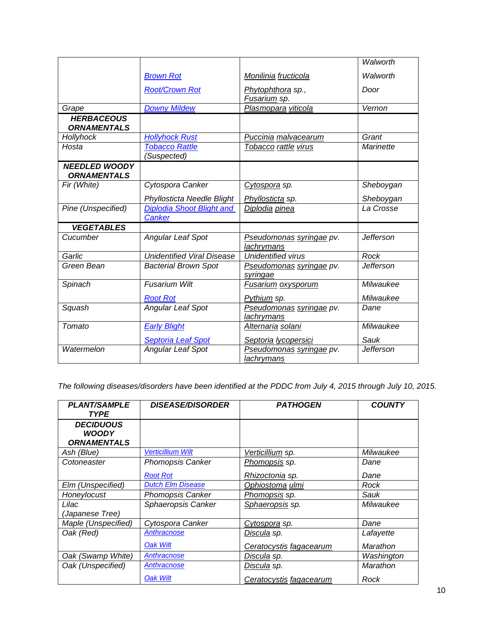|                                            |                                                   |                                               | Walworth         |
|--------------------------------------------|---------------------------------------------------|-----------------------------------------------|------------------|
|                                            | <b>Brown Rot</b>                                  | Monilinia fructicola                          | Walworth         |
|                                            | <b>Root/Crown Rot</b>                             | Phytophthora sp.,<br>Fusarium sp.             | Door             |
| Grape                                      | <b>Downy Mildew</b>                               | Plasmopara viticola                           | Vernon           |
| <b>HERBACEOUS</b><br><b>ORNAMENTALS</b>    |                                                   |                                               |                  |
| Hollyhock                                  | <b>Hollyhock Rust</b>                             | Puccinia malvacearum                          | Grant            |
| Hosta                                      | <b>Tobacco Rattle</b><br>'Suspected)              | Tobacco rattle virus                          | Marinette        |
| <b>NEEDLED WOODY</b><br><b>ORNAMENTALS</b> |                                                   |                                               |                  |
| Fir (White)                                | Cytospora Canker                                  | Cytospora sp.                                 | Sheboygan        |
|                                            | Phyllosticta Needle Blight                        | Phyllosticta sp.                              | Sheboygan        |
| Pine (Unspecified)                         | <b>Diplodia Shoot Blight and</b><br><b>Canker</b> | Diplodia pinea                                | La Crosse        |
| <b>VEGETABLES</b>                          |                                                   |                                               |                  |
| Cucumber                                   | Angular Leaf Spot                                 | Pseudomonas syringae pv.<br>lachrymans        | <b>Jefferson</b> |
| Garlic                                     | <b>Unidentified Viral Disease</b>                 | <b>Unidentified virus</b>                     | Rock             |
| Green Bean                                 | <b>Bacterial Brown Spot</b>                       | Pseudomonas syringae pv.<br>syringae          | <b>Jefferson</b> |
| Spinach                                    | <b>Fusarium Wilt</b>                              | <b>Fusarium oxysporum</b>                     | Milwaukee        |
|                                            | <b>Root Rot</b>                                   | Pythium sp.                                   | Milwaukee        |
| Squash                                     | Angular Leaf Spot                                 | Pseudomonas syringae pv.<br><b>lachrymans</b> | Dane             |
| Tomato                                     | <b>Early Blight</b>                               | Alternaria solani                             | Milwaukee        |
|                                            | <b>Septoria Leaf Spot</b>                         | Septoria lycopersici                          | Sauk             |
| Watermelon                                 | Angular Leaf Spot                                 | Pseudomonas syringae pv.<br>lachrymans        | <b>Jefferson</b> |

*The following diseases/disorders have been identified at the PDDC from July 4, 2015 through July 10, 2015.*

| <b>PLANT/SAMPLE</b><br><b>TYPE</b>                     | <b>DISEASE/DISORDER</b>  | <b>PATHOGEN</b>                | <b>COUNTY</b> |
|--------------------------------------------------------|--------------------------|--------------------------------|---------------|
| <b>DECIDUOUS</b><br><b>WOODY</b><br><b>ORNAMENTALS</b> |                          |                                |               |
| Ash (Blue)                                             | <b>Verticillium Wilt</b> | Verticillium sp.               | Milwaukee     |
| Cotoneaster                                            | <b>Phomopsis Canker</b>  | Phomopsis sp.                  | Dane          |
|                                                        | <b>Root Rot</b>          | Rhizoctonia sp.                | Dane          |
| Elm (Unspecified)                                      | <b>Dutch Elm Disease</b> | Ophiostoma ulmi                | Rock          |
| Honeylocust                                            | <b>Phomopsis Canker</b>  | Phomopsis sp.                  | Sauk          |
| Lilac<br>(Japanese Tree)                               | Sphaeropsis Canker       | Sphaeropsis sp.                | Milwaukee     |
| Maple (Unspecified)                                    | Cytospora Canker         | Cytospora sp.                  | Dane          |
| Oak (Red)                                              | <b>Anthracnose</b>       | Discula sp.                    | Lafayette     |
|                                                        | Oak Wilt                 | Ceratocystis fagacearum        | Marathon      |
| Oak (Swamp White)                                      | Anthracnose              | Discula sp.                    | Washington    |
| Oak (Unspecified)                                      | Anthracnose              | <u>Discula</u> sp.             | Marathon      |
|                                                        | <b>Oak Wilt</b>          | <b>Ceratocystis fagacearum</b> | Rock          |